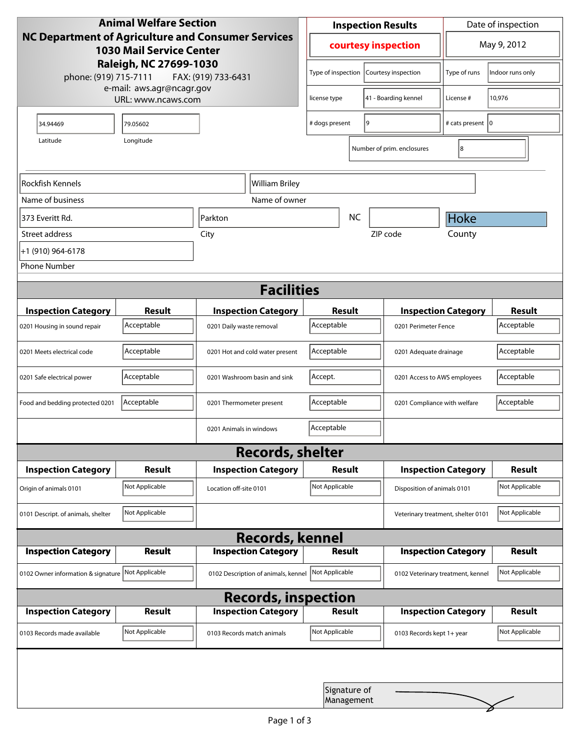| <b>Animal Welfare Section</b><br><b>NC Department of Agriculture and Consumer Services</b><br><b>1030 Mail Service Center</b> |                |                                     | <b>Inspection Results</b>                  |  |                                    | Date of inspection         |                |
|-------------------------------------------------------------------------------------------------------------------------------|----------------|-------------------------------------|--------------------------------------------|--|------------------------------------|----------------------------|----------------|
|                                                                                                                               |                |                                     | courtesy inspection                        |  |                                    | May 9, 2012                |                |
| Raleigh, NC 27699-1030<br>phone: (919) 715-7111<br>FAX: (919) 733-6431<br>e-mail: aws.agr@ncagr.gov                           |                |                                     | Type of inspection<br>Courtesy inspection  |  | Type of runs                       | Indoor runs only           |                |
| URL: www.ncaws.com                                                                                                            |                | license type                        | 41 - Boarding kennel                       |  | License #                          | 10,976                     |                |
| 34.94469                                                                                                                      | 79.05602       |                                     | 9<br># dogs present                        |  | # cats present 10                  |                            |                |
| Latitude                                                                                                                      | Longitude      |                                     |                                            |  | Number of prim. enclosures         | 8                          |                |
| Rockfish Kennels                                                                                                              |                | William Briley                      |                                            |  |                                    |                            |                |
| Name of business                                                                                                              |                | Name of owner                       |                                            |  |                                    |                            |                |
| 373 Everitt Rd.                                                                                                               |                | Parkton                             | <b>NC</b>                                  |  | <b>Hoke</b>                        |                            |                |
| Street address                                                                                                                |                | City                                |                                            |  | ZIP code                           | County                     |                |
| +1 (910) 964-6178                                                                                                             |                |                                     |                                            |  |                                    |                            |                |
| <b>Phone Number</b>                                                                                                           |                |                                     |                                            |  |                                    |                            |                |
|                                                                                                                               |                | <b>Facilities</b>                   |                                            |  |                                    |                            |                |
| <b>Inspection Category</b>                                                                                                    | <b>Result</b>  | <b>Inspection Category</b>          | Result                                     |  |                                    | <b>Inspection Category</b> | <b>Result</b>  |
| 0201 Housing in sound repair                                                                                                  | Acceptable     | 0201 Daily waste removal            | Acceptable                                 |  | 0201 Perimeter Fence               |                            | Acceptable     |
| 0201 Meets electrical code                                                                                                    | Acceptable     | 0201 Hot and cold water present     | Acceptable<br>0201 Adequate drainage       |  |                                    | Acceptable                 |                |
| 0201 Safe electrical power                                                                                                    | Acceptable     | 0201 Washroom basin and sink        | Accept.<br>0201 Access to AWS employees    |  |                                    | Acceptable                 |                |
| Food and bedding protected 0201                                                                                               | Acceptable     | 0201 Thermometer present            | Acceptable<br>0201 Compliance with welfare |  |                                    | Acceptable                 |                |
|                                                                                                                               |                | 0201 Animals in windows             | Acceptable                                 |  |                                    |                            |                |
|                                                                                                                               |                | <b>Records, shelter</b>             |                                            |  |                                    |                            |                |
| <b>Inspection Category</b>                                                                                                    | Result         | <b>Inspection Category</b>          | Result                                     |  |                                    | <b>Inspection Category</b> | <b>Result</b>  |
| Origin of animals 0101                                                                                                        | Not Applicable | Location off-site 0101              | Not Applicable                             |  | Disposition of animals 0101        |                            | Not Applicable |
| 0101 Descript. of animals, shelter                                                                                            | Not Applicable |                                     |                                            |  | Veterinary treatment, shelter 0101 |                            | Not Applicable |
|                                                                                                                               |                | <b>Records, kennel</b>              |                                            |  |                                    |                            |                |
| <b>Inspection Category</b>                                                                                                    | <b>Result</b>  | <b>Inspection Category</b>          | <b>Result</b>                              |  |                                    | <b>Inspection Category</b> | <b>Result</b>  |
| 0102 Owner information & signature Not Applicable                                                                             |                | 0102 Description of animals, kennel | Not Applicable                             |  | 0102 Veterinary treatment, kennel  |                            | Not Applicable |
|                                                                                                                               |                | <b>Records, inspection</b>          |                                            |  |                                    |                            |                |
| <b>Inspection Category</b>                                                                                                    | <b>Result</b>  | <b>Inspection Category</b>          | Result                                     |  |                                    | <b>Inspection Category</b> | <b>Result</b>  |
| 0103 Records made available                                                                                                   | Not Applicable | 0103 Records match animals          | Not Applicable                             |  | 0103 Records kept 1+ year          |                            | Not Applicable |
|                                                                                                                               |                |                                     |                                            |  |                                    |                            |                |
|                                                                                                                               |                |                                     | Signature of<br>Management                 |  |                                    |                            |                |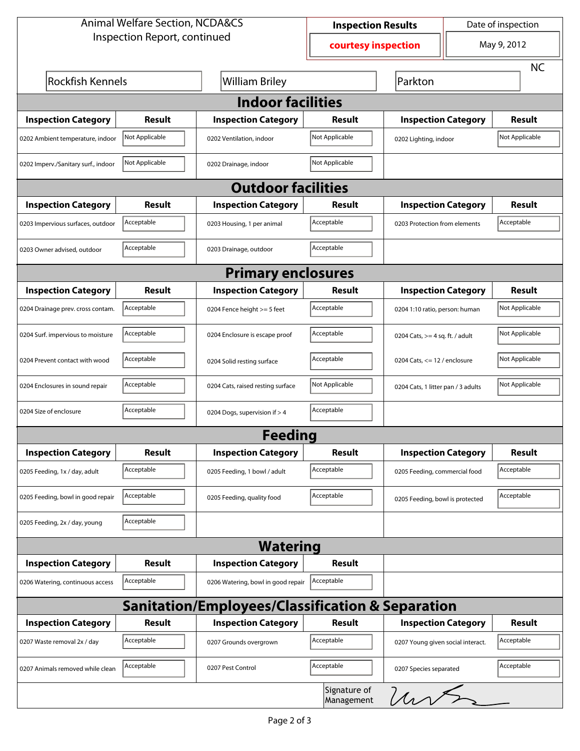| <b>Animal Welfare Section, NCDA&amp;CS</b> |                              |                                                             | <b>Inspection Results</b>  |                                    | Date of inspection |                |  |  |
|--------------------------------------------|------------------------------|-------------------------------------------------------------|----------------------------|------------------------------------|--------------------|----------------|--|--|
|                                            | Inspection Report, continued | courtesy inspection                                         |                            | May 9, 2012                        |                    |                |  |  |
|                                            |                              |                                                             |                            |                                    |                    | <b>NC</b>      |  |  |
| <b>Rockfish Kennels</b>                    |                              | <b>William Briley</b>                                       |                            | Parkton                            |                    |                |  |  |
| <b>Indoor facilities</b>                   |                              |                                                             |                            |                                    |                    |                |  |  |
| <b>Inspection Category</b>                 | Result                       | <b>Inspection Category</b>                                  | Result                     | <b>Inspection Category</b>         |                    | Result         |  |  |
| 0202 Ambient temperature, indoor           | Not Applicable               | 0202 Ventilation, indoor                                    | Not Applicable             | 0202 Lighting, indoor              |                    | Not Applicable |  |  |
| 0202 Imperv./Sanitary surf., indoor        | Not Applicable               | 0202 Drainage, indoor                                       | Not Applicable             |                                    |                    |                |  |  |
|                                            | <b>Outdoor facilities</b>    |                                                             |                            |                                    |                    |                |  |  |
| <b>Inspection Category</b>                 | Result                       | <b>Inspection Category</b>                                  | Result                     | <b>Inspection Category</b>         |                    | Result         |  |  |
| 0203 Impervious surfaces, outdoor          | Acceptable                   | 0203 Housing, 1 per animal                                  | Acceptable                 | 0203 Protection from elements      |                    | Acceptable     |  |  |
| 0203 Owner advised, outdoor                | Acceptable                   | 0203 Drainage, outdoor                                      | Acceptable                 |                                    |                    |                |  |  |
|                                            |                              | <b>Primary enclosures</b>                                   |                            |                                    |                    |                |  |  |
| <b>Inspection Category</b>                 | Result                       | <b>Inspection Category</b>                                  | Result                     | <b>Inspection Category</b>         |                    | <b>Result</b>  |  |  |
| 0204 Drainage prev. cross contam.          | Acceptable                   | 0204 Fence height >= 5 feet                                 | Acceptable                 | 0204 1:10 ratio, person: human     |                    | Not Applicable |  |  |
| 0204 Surf. impervious to moisture          | Acceptable                   | 0204 Enclosure is escape proof                              | Acceptable                 | 0204 Cats, $>=$ 4 sq. ft. / adult  |                    | Not Applicable |  |  |
| 0204 Prevent contact with wood             | Acceptable                   | 0204 Solid resting surface                                  | Acceptable                 | 0204 Cats, $<= 12$ / enclosure     |                    | Not Applicable |  |  |
| 0204 Enclosures in sound repair            | Acceptable                   | 0204 Cats, raised resting surface                           | Not Applicable             | 0204 Cats, 1 litter pan / 3 adults |                    | Not Applicable |  |  |
| 0204 Size of enclosure                     | Acceptable                   | 0204 Dogs, supervision if > 4                               | Acceptable                 |                                    |                    |                |  |  |
|                                            |                              | <b>Feeding</b>                                              |                            |                                    |                    |                |  |  |
| <b>Inspection Category</b>                 | <b>Result</b>                | <b>Inspection Category</b>                                  | Result                     | <b>Inspection Category</b>         |                    | <b>Result</b>  |  |  |
| 0205 Feeding, 1x / day, adult              | Acceptable                   | 0205 Feeding, 1 bowl / adult                                | Acceptable                 | 0205 Feeding, commercial food      |                    | Acceptable     |  |  |
| 0205 Feeding, bowl in good repair          | Acceptable                   | 0205 Feeding, quality food                                  | Acceptable                 | 0205 Feeding, bowl is protected    |                    | Acceptable     |  |  |
| 0205 Feeding, 2x / day, young              | Acceptable                   |                                                             |                            |                                    |                    |                |  |  |
|                                            |                              | <b>Watering</b>                                             |                            |                                    |                    |                |  |  |
| <b>Inspection Category</b>                 | <b>Result</b>                | <b>Inspection Category</b>                                  | <b>Result</b>              |                                    |                    |                |  |  |
| 0206 Watering, continuous access           | Acceptable                   | 0206 Watering, bowl in good repair                          | Acceptable                 |                                    |                    |                |  |  |
|                                            |                              | <b>Sanitation/Employees/Classification &amp; Separation</b> |                            |                                    |                    |                |  |  |
| <b>Inspection Category</b>                 | <b>Result</b>                | <b>Inspection Category</b>                                  | Result                     | <b>Inspection Category</b>         |                    | <b>Result</b>  |  |  |
| 0207 Waste removal 2x / day                | Acceptable                   | 0207 Grounds overgrown                                      | Acceptable                 | 0207 Young given social interact.  |                    | Acceptable     |  |  |
| 0207 Animals removed while clean           | Acceptable                   | 0207 Pest Control                                           | Acceptable                 | 0207 Species separated             |                    | Acceptable     |  |  |
|                                            |                              |                                                             | Signature of<br>Management | unt                                |                    |                |  |  |